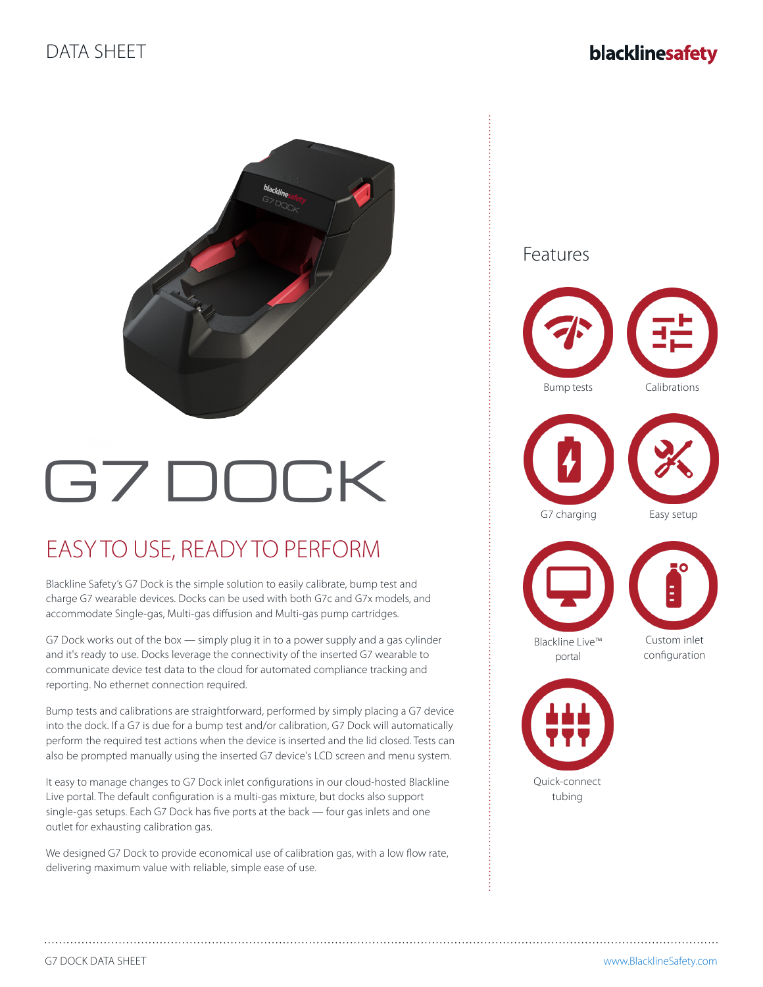

# G7 DOCK

## EASY TO USE, READY TO PERFORM

Blackline Safety's G7 Dock is the simple solution to easily calibrate, bump test and charge G7 wearable devices. Docks can be used with both G7c and G7x models, and accommodate Single-gas, Multi-gas diffusion and Multi-gas pump cartridges.

G7 Dock works out of the box — simply plug it in to a power supply and a gas cylinder and it's ready to use. Docks leverage the connectivity of the inserted G7 wearable to communicate device test data to the cloud for automated compliance tracking and reporting. No ethernet connection required.

Bump tests and calibrations are straightforward, performed by simply placing a G7 device into the dock. If a G7 is due for a bump test and/or calibration, G7 Dock will automatically perform the required test actions when the device is inserted and the lid closed. Tests can also be prompted manually using the inserted G7 device's LCD screen and menu system.

It easy to manage changes to G7 Dock inlet configurations in our cloud-hosted Blackline Live portal. The default configuration is a multi-gas mixture, but docks also support single-gas setups. Each G7 Dock has five ports at the back — four gas inlets and one outlet for exhausting calibration gas.

We designed G7 Dock to provide economical use of calibration gas, with a low flow rate, delivering maximum value with reliable, simple ease of use.

G7 charging Easy setup Quick-connect tubing Bump tests Calibrations Custom inlet configuration Blackline Live™ portal Features